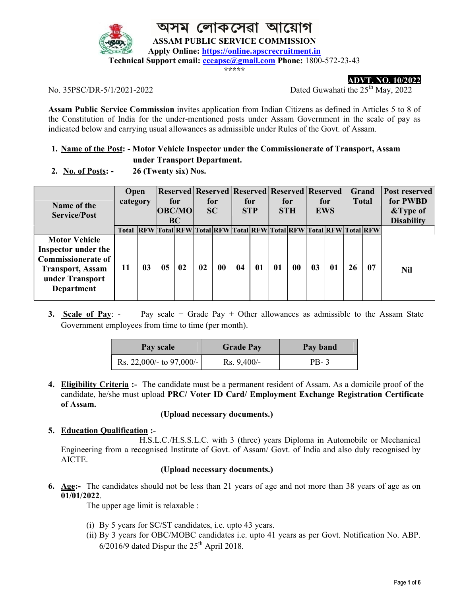

লোকসেৱা আয়ে

ASSAM PUBLIC SERVICE COMMISSION

Apply Online: https://online.apscrecruitment.in

Technical Support email: cceapsc@gmail.com Phone: 1800-572-23-43

\*\*\*\*\*

ADVT. NO. 10/2022

No. 35PSC/DR-5/1/2021-2022 Dated Guwahati the 25<sup>th</sup> May, 2022

Assam Public Service Commission invites application from Indian Citizens as defined in Articles 5 to 8 of the Constitution of India for the under-mentioned posts under Assam Government in the scale of pay as indicated below and carrying usual allowances as admissible under Rules of the Govt. of Assam.

# 1. Name of the Post: - Motor Vehicle Inspector under the Commissionerate of Transport, Assam

under Transport Department.

| 2. No. of Posts: $-$ | 26 (Twenty six) Nos. |
|----------------------|----------------------|
|                      |                      |

| Name of the<br><b>Service/Post</b>                                                                                                   | Open<br>category |                                                                        | for<br> OBC/MO <br><b>BC</b> |    | <b>Reserved Reserved Reserved Reserved Reserved</b><br>for<br>SC |           | for<br><b>STP</b> |    | for<br><b>STH</b> |    | for<br><b>EWS</b> |    | Grand<br><b>Total</b> |    | Post reserved<br>for PWBD<br>&Type of<br><b>Disability</b> |
|--------------------------------------------------------------------------------------------------------------------------------------|------------------|------------------------------------------------------------------------|------------------------------|----|------------------------------------------------------------------|-----------|-------------------|----|-------------------|----|-------------------|----|-----------------------|----|------------------------------------------------------------|
|                                                                                                                                      | Total            | <b>REW Total REW Total REW Total REW Total REW Total REW Total REW</b> |                              |    |                                                                  |           |                   |    |                   |    |                   |    |                       |    |                                                            |
| <b>Motor Vehicle</b><br>Inspector under the<br><b>Commissionerate of</b><br><b>Transport, Assam</b><br>under Transport<br>Department | 11               | 03                                                                     | 05                           | 02 | 02                                                               | $\bf{00}$ | 04                | 01 | $\mathbf{0}$      | 00 | 03                | 01 | 26                    | 07 | Nil                                                        |

3. Scale of Pay: - Pay scale + Grade Pay + Other allowances as admissible to the Assam State Government employees from time to time (per month).

| Pay scale                | <b>Grade Pay</b> | Pay band |
|--------------------------|------------------|----------|
| Rs. 22,000/- to 97,000/- | $Rs. 9,400/-$    | PB-3     |

4. Eligibility Criteria :- The candidate must be a permanent resident of Assam. As a domicile proof of the candidate, he/she must upload PRC/ Voter ID Card/ Employment Exchange Registration Certificate of Assam.

## (Upload necessary documents.)

## 5. Education Qualification :-

 H.S.L.C./H.S.S.L.C. with 3 (three) years Diploma in Automobile or Mechanical Engineering from a recognised Institute of Govt. of Assam/ Govt. of India and also duly recognised by AICTE.

# (Upload necessary documents.)

6. Age:- The candidates should not be less than 21 years of age and not more than 38 years of age as on 01/01/2022.

The upper age limit is relaxable :

- (i) By 5 years for SC/ST candidates, i.e. upto 43 years.
- (ii) By 3 years for OBC/MOBC candidates i.e. upto 41 years as per Govt. Notification No. ABP.  $6/2016/9$  dated Dispur the  $25<sup>th</sup>$  April 2018.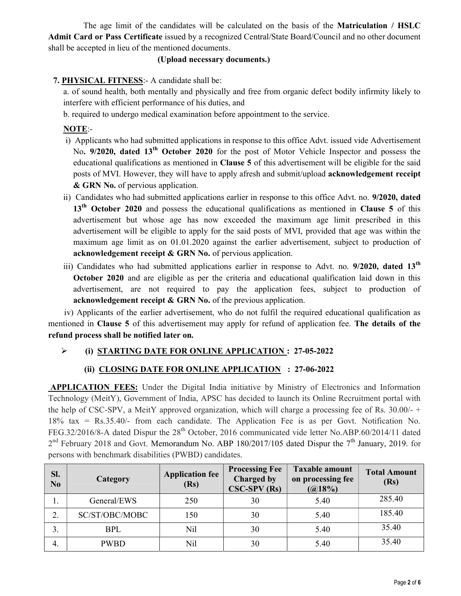The age limit of the candidates will be calculated on the basis of the Matriculation / HSLC Admit Card or Pass Certificate issued by a recognized Central/State Board/Council and no other document shall be accepted in lieu of the mentioned documents.

#### (Upload necessary documents.)

## 7. PHYSICAL FITNESS:- A candidate shall be:

a. of sound health, both mentally and physically and free from organic defect bodily infirmity likely to interfere with efficient performance of his duties, and

b. required to undergo medical examination before appointment to the service.

## NOTE:-

- i) Applicants who had submitted applications in response to this office Advt. issued vide Advertisement No. 9/2020, dated 13<sup>th</sup> October 2020 for the post of Motor Vehicle Inspector and possess the educational qualifications as mentioned in Clause 5 of this advertisement will be eligible for the said posts of MVI. However, they will have to apply afresh and submit/upload acknowledgement receipt & GRN No. of pervious application.
- ii) Candidates who had submitted applications earlier in response to this office Advt. no. 9/2020, dated  $13<sup>th</sup>$  October 2020 and possess the educational qualifications as mentioned in Clause 5 of this advertisement but whose age has now exceeded the maximum age limit prescribed in this advertisement will be eligible to apply for the said posts of MVI, provided that age was within the maximum age limit as on 01.01.2020 against the earlier advertisement, subject to production of acknowledgement receipt & GRN No. of pervious application.
- iii) Candidates who had submitted applications earlier in response to Advt. no. 9/2020, dated 13<sup>th</sup> October 2020 and are eligible as per the criteria and educational qualification laid down in this advertisement, are not required to pay the application fees, subject to production of acknowledgement receipt & GRN No. of the previous application.

iv) Applicants of the earlier advertisement, who do not fulfil the required educational qualification as mentioned in Clause 5 of this advertisement may apply for refund of application fee. The details of the refund process shall be notified later on.

# (i) STARTING DATE FOR ONLINE APPLICATION : 27-05-2022

## (ii) CLOSING DATE FOR ONLINE APPLICATION : 27-06-2022

 APPLICATION FEES: Under the Digital India initiative by Ministry of Electronics and Information Technology (MeitY), Government of India, APSC has decided to launch its Online Recruitment portal with the help of CSC-SPV, a MeitY approved organization, which will charge a processing fee of Rs. 30.00/- + 18% tax = Rs.35.40/- from each candidate. The Application Fee is as per Govt. Notification No. FEG.32/2016/8-A dated Dispur the 28<sup>th</sup> October, 2016 communicated vide letter No.ABP.60/2014/11 dated  $2<sup>nd</sup>$  February 2018 and Govt. Memorandum No. ABP 180/2017/105 dated Dispur the 7<sup>th</sup> January, 2019. for persons with benchmark disabilities (PWBD) candidates.

| SI.<br>No | Category       | <b>Application fee</b><br>(Rs) | <b>Processing Fee</b><br>Charged by<br>$CSC-SPV$ $(Rs)$ | <b>Taxable amount</b><br>on processing fee<br>(a)18% | <b>Total Amount</b><br>(Rs) |
|-----------|----------------|--------------------------------|---------------------------------------------------------|------------------------------------------------------|-----------------------------|
| 1.        | General/EWS    | 250                            | 30                                                      | 5.40                                                 | 285.40                      |
| 2.        | SC/ST/OBC/MOBC | 150                            | 30                                                      | 5.40                                                 | 185.40                      |
| Ć.        | <b>BPL</b>     | Nil                            | 30                                                      | 5.40                                                 | 35.40                       |
| 4.        | <b>PWBD</b>    | Nil                            | 30                                                      | 5.40                                                 | 35.40                       |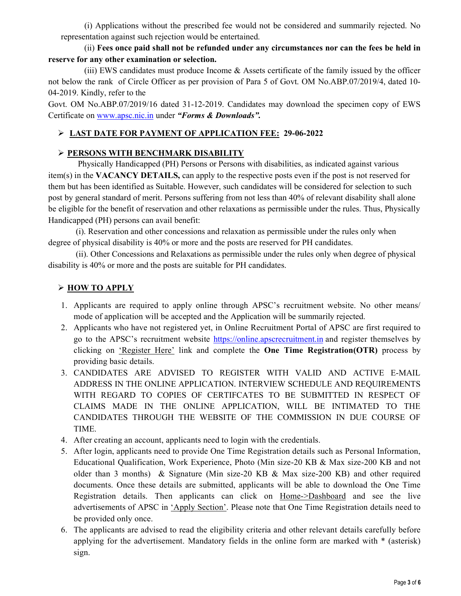(i) Applications without the prescribed fee would not be considered and summarily rejected. No representation against such rejection would be entertained.

### (ii) Fees once paid shall not be refunded under any circumstances nor can the fees be held in reserve for any other examination or selection.

 (iii) EWS candidates must produce Income & Assets certificate of the family issued by the officer not below the rank of Circle Officer as per provision of Para 5 of Govt. OM No.ABP.07/2019/4, dated 10- 04-2019. Kindly, refer to the

Govt. OM No.ABP.07/2019/16 dated 31-12-2019. Candidates may download the specimen copy of EWS Certificate on www.apsc.nic.in under "Forms & Downloads".

## LAST DATE FOR PAYMENT OF APPLICATION FEE: 29-06-2022

## PERSONS WITH BENCHMARK DISABILITY

 Physically Handicapped (PH) Persons or Persons with disabilities, as indicated against various item(s) in the VACANCY DETAILS, can apply to the respective posts even if the post is not reserved for them but has been identified as Suitable. However, such candidates will be considered for selection to such post by general standard of merit. Persons suffering from not less than 40% of relevant disability shall alone be eligible for the benefit of reservation and other relaxations as permissible under the rules. Thus, Physically Handicapped (PH) persons can avail benefit:

 (i). Reservation and other concessions and relaxation as permissible under the rules only when degree of physical disability is 40% or more and the posts are reserved for PH candidates.

 (ii). Other Concessions and Relaxations as permissible under the rules only when degree of physical disability is 40% or more and the posts are suitable for PH candidates.

## > HOW TO APPLY

- 1. Applicants are required to apply online through APSC's recruitment website. No other means/ mode of application will be accepted and the Application will be summarily rejected.
- 2. Applicants who have not registered yet, in Online Recruitment Portal of APSC are first required to go to the APSC's recruitment website https://online.apscrecruitment.in and register themselves by clicking on 'Register Here' link and complete the One Time Registration(OTR) process by providing basic details.
- 3. CANDIDATES ARE ADVISED TO REGISTER WITH VALID AND ACTIVE E-MAIL ADDRESS IN THE ONLINE APPLICATION. INTERVIEW SCHEDULE AND REQUIREMENTS WITH REGARD TO COPIES OF CERTIFCATES TO BE SUBMITTED IN RESPECT OF CLAIMS MADE IN THE ONLINE APPLICATION, WILL BE INTIMATED TO THE CANDIDATES THROUGH THE WEBSITE OF THE COMMISSION IN DUE COURSE OF TIME.
- 4. After creating an account, applicants need to login with the credentials.
- 5. After login, applicants need to provide One Time Registration details such as Personal Information, Educational Qualification, Work Experience, Photo (Min size-20 KB & Max size-200 KB and not older than 3 months) & Signature (Min size-20 KB & Max size-200 KB) and other required documents. Once these details are submitted, applicants will be able to download the One Time Registration details. Then applicants can click on Home->Dashboard and see the live advertisements of APSC in 'Apply Section'. Please note that One Time Registration details need to be provided only once.
- 6. The applicants are advised to read the eligibility criteria and other relevant details carefully before applying for the advertisement. Mandatory fields in the online form are marked with \* (asterisk) sign.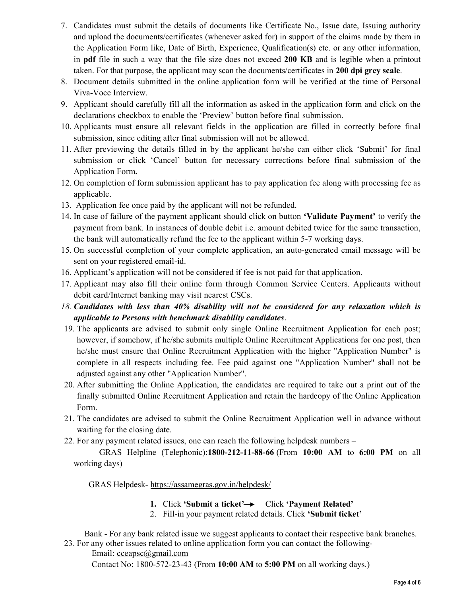- 7. Candidates must submit the details of documents like Certificate No., Issue date, Issuing authority and upload the documents/certificates (whenever asked for) in support of the claims made by them in the Application Form like, Date of Birth, Experience, Qualification(s) etc. or any other information, in pdf file in such a way that the file size does not exceed 200 KB and is legible when a printout taken. For that purpose, the applicant may scan the documents/certificates in 200 dpi grey scale.
- 8. Document details submitted in the online application form will be verified at the time of Personal Viva-Voce Interview.
- 9. Applicant should carefully fill all the information as asked in the application form and click on the declarations checkbox to enable the 'Preview' button before final submission.
- 10. Applicants must ensure all relevant fields in the application are filled in correctly before final submission, since editing after final submission will not be allowed.
- 11. After previewing the details filled in by the applicant he/she can either click 'Submit' for final submission or click 'Cancel' button for necessary corrections before final submission of the Application Form.
- 12. On completion of form submission applicant has to pay application fee along with processing fee as applicable.
- 13. Application fee once paid by the applicant will not be refunded.
- 14. In case of failure of the payment applicant should click on button **'Validate Payment'** to verify the payment from bank. In instances of double debit i.e. amount debited twice for the same transaction, the bank will automatically refund the fee to the applicant within 5-7 working days.
- 15. On successful completion of your complete application, an auto-generated email message will be sent on your registered email-id.
- 16. Applicant's application will not be considered if fee is not paid for that application.
- 17. Applicant may also fill their online form through Common Service Centers. Applicants without debit card/Internet banking may visit nearest CSCs.
- 18. Candidates with less than 40% disability will not be considered for any relaxation which is applicable to Persons with benchmark disability candidates.
- 19. The applicants are advised to submit only single Online Recruitment Application for each post; however, if somehow, if he/she submits multiple Online Recruitment Applications for one post, then he/she must ensure that Online Recruitment Application with the higher "Application Number" is complete in all respects including fee. Fee paid against one "Application Number" shall not be adjusted against any other "Application Number".
- 20. After submitting the Online Application, the candidates are required to take out a print out of the finally submitted Online Recruitment Application and retain the hardcopy of the Online Application Form.
- 21. The candidates are advised to submit the Online Recruitment Application well in advance without waiting for the closing date.
- 22. For any payment related issues, one can reach the following helpdesk numbers –

 GRAS Helpline (Telephonic):1800-212-11-88-66 (From 10:00 AM to 6:00 PM on all working days)

GRAS Helpdesk- https://assamegras.gov.in/helpdesk/

- 1. Click 'Submit a ticket' $\rightarrow$  Click 'Payment Related'
- 2. Fill-in your payment related details. Click 'Submit ticket'

 Bank - For any bank related issue we suggest applicants to contact their respective bank branches. 23. For any other issues related to online application form you can contact the following-

Email: cceapsc@gmail.com

Contact No: 1800-572-23-43 (From 10:00 AM to 5:00 PM on all working days.)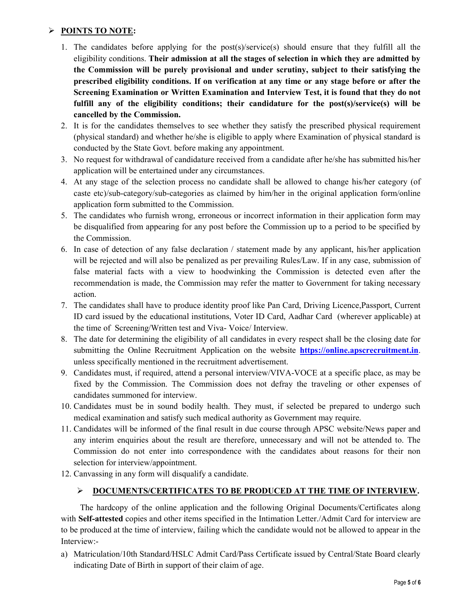## > POINTS TO NOTE:

- 1. The candidates before applying for the post(s)/service(s) should ensure that they fulfill all the eligibility conditions. Their admission at all the stages of selection in which they are admitted by the Commission will be purely provisional and under scrutiny, subject to their satisfying the prescribed eligibility conditions. If on verification at any time or any stage before or after the Screening Examination or Written Examination and Interview Test, it is found that they do not fulfill any of the eligibility conditions; their candidature for the post(s)/service(s) will be cancelled by the Commission.
- 2. It is for the candidates themselves to see whether they satisfy the prescribed physical requirement (physical standard) and whether he/she is eligible to apply where Examination of physical standard is conducted by the State Govt. before making any appointment.
- 3. No request for withdrawal of candidature received from a candidate after he/she has submitted his/her application will be entertained under any circumstances.
- 4. At any stage of the selection process no candidate shall be allowed to change his/her category (of caste etc)/sub-category/sub-categories as claimed by him/her in the original application form/online application form submitted to the Commission.
- 5. The candidates who furnish wrong, erroneous or incorrect information in their application form may be disqualified from appearing for any post before the Commission up to a period to be specified by the Commission.
- 6. In case of detection of any false declaration / statement made by any applicant, his/her application will be rejected and will also be penalized as per prevailing Rules/Law. If in any case, submission of false material facts with a view to hoodwinking the Commission is detected even after the recommendation is made, the Commission may refer the matter to Government for taking necessary action.
- 7. The candidates shall have to produce identity proof like Pan Card, Driving Licence,Passport, Current ID card issued by the educational institutions, Voter ID Card, Aadhar Card (wherever applicable) at the time of Screening/Written test and Viva- Voice/ Interview.
- 8. The date for determining the eligibility of all candidates in every respect shall be the closing date for submitting the Online Recruitment Application on the website **https://online.apscrecruitment.in.** unless specifically mentioned in the recruitment advertisement.
- 9. Candidates must, if required, attend a personal interview/VIVA-VOCE at a specific place, as may be fixed by the Commission. The Commission does not defray the traveling or other expenses of candidates summoned for interview.
- 10. Candidates must be in sound bodily health. They must, if selected be prepared to undergo such medical examination and satisfy such medical authority as Government may require.
- 11. Candidates will be informed of the final result in due course through APSC website/News paper and any interim enquiries about the result are therefore, unnecessary and will not be attended to. The Commission do not enter into correspondence with the candidates about reasons for their non selection for interview/appointment.
- 12. Canvassing in any form will disqualify a candidate.

## > DOCUMENTS/CERTIFICATES TO BE PRODUCED AT THE TIME OF INTERVIEW.

 The hardcopy of the online application and the following Original Documents/Certificates along with **Self-attested** copies and other items specified in the Intimation Letter./Admit Card for interview are to be produced at the time of interview, failing which the candidate would not be allowed to appear in the Interview:-

a) Matriculation/10th Standard/HSLC Admit Card/Pass Certificate issued by Central/State Board clearly indicating Date of Birth in support of their claim of age.